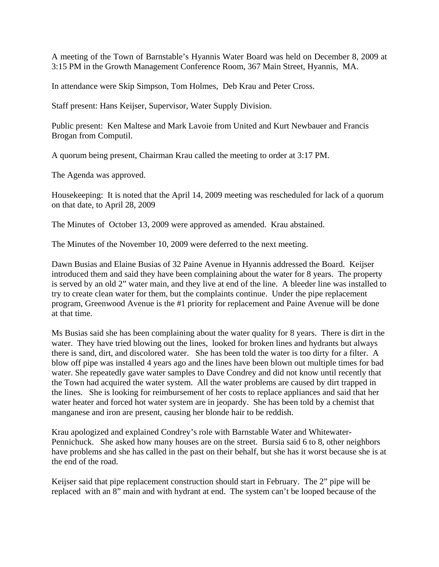A meeting of the Town of Barnstable's Hyannis Water Board was held on December 8, 2009 at 3:15 PM in the Growth Management Conference Room, 367 Main Street, Hyannis, MA.

In attendance were Skip Simpson, Tom Holmes, Deb Krau and Peter Cross.

Staff present: Hans Keijser, Supervisor, Water Supply Division.

Public present: Ken Maltese and Mark Lavoie from United and Kurt Newbauer and Francis Brogan from Computil.

A quorum being present, Chairman Krau called the meeting to order at 3:17 PM.

The Agenda was approved.

Housekeeping: It is noted that the April 14, 2009 meeting was rescheduled for lack of a quorum on that date, to April 28, 2009

The Minutes of October 13, 2009 were approved as amended. Krau abstained.

The Minutes of the November 10, 2009 were deferred to the next meeting.

Dawn Busias and Elaine Busias of 32 Paine Avenue in Hyannis addressed the Board. Keijser introduced them and said they have been complaining about the water for 8 years. The property is served by an old 2" water main, and they live at end of the line. A bleeder line was installed to try to create clean water for them, but the complaints continue. Under the pipe replacement program, Greenwood Avenue is the #1 priority for replacement and Paine Avenue will be done at that time.

Ms Busias said she has been complaining about the water quality for 8 years. There is dirt in the water. They have tried blowing out the lines, looked for broken lines and hydrants but always there is sand, dirt, and discolored water. She has been told the water is too dirty for a filter. A blow off pipe was installed 4 years ago and the lines have been blown out multiple times for bad water. She repeatedly gave water samples to Dave Condrey and did not know until recently that the Town had acquired the water system. All the water problems are caused by dirt trapped in the lines. She is looking for reimbursement of her costs to replace appliances and said that her water heater and forced hot water system are in jeopardy. She has been told by a chemist that manganese and iron are present, causing her blonde hair to be reddish.

Krau apologized and explained Condrey's role with Barnstable Water and Whitewater-Pennichuck. She asked how many houses are on the street. Bursia said 6 to 8, other neighbors have problems and she has called in the past on their behalf, but she has it worst because she is at the end of the road.

Keijser said that pipe replacement construction should start in February. The 2" pipe will be replaced with an 8" main and with hydrant at end. The system can't be looped because of the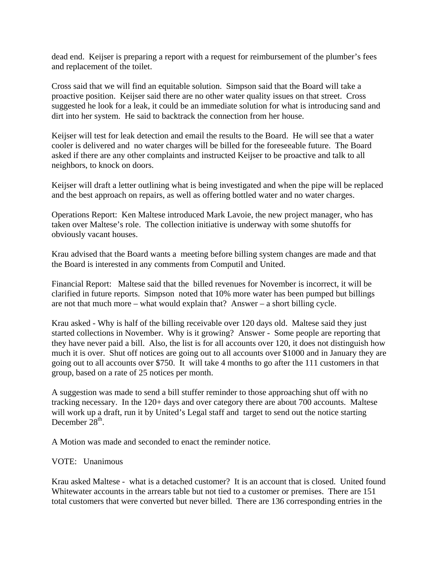dead end. Keijser is preparing a report with a request for reimbursement of the plumber's fees and replacement of the toilet.

Cross said that we will find an equitable solution. Simpson said that the Board will take a proactive position. Keijser said there are no other water quality issues on that street. Cross suggested he look for a leak, it could be an immediate solution for what is introducing sand and dirt into her system. He said to backtrack the connection from her house.

Keijser will test for leak detection and email the results to the Board. He will see that a water cooler is delivered and no water charges will be billed for the foreseeable future. The Board asked if there are any other complaints and instructed Keijser to be proactive and talk to all neighbors, to knock on doors.

Keijser will draft a letter outlining what is being investigated and when the pipe will be replaced and the best approach on repairs, as well as offering bottled water and no water charges.

Operations Report: Ken Maltese introduced Mark Lavoie, the new project manager, who has taken over Maltese's role. The collection initiative is underway with some shutoffs for obviously vacant houses.

Krau advised that the Board wants a meeting before billing system changes are made and that the Board is interested in any comments from Computil and United.

Financial Report: Maltese said that the billed revenues for November is incorrect, it will be clarified in future reports. Simpson noted that 10% more water has been pumped but billings are not that much more – what would explain that? Answer – a short billing cycle.

Krau asked - Why is half of the billing receivable over 120 days old. Maltese said they just started collections in November. Why is it growing? Answer - Some people are reporting that they have never paid a bill. Also, the list is for all accounts over 120, it does not distinguish how much it is over. Shut off notices are going out to all accounts over \$1000 and in January they are going out to all accounts over \$750. It will take 4 months to go after the 111 customers in that group, based on a rate of 25 notices per month.

A suggestion was made to send a bill stuffer reminder to those approaching shut off with no tracking necessary. In the 120+ days and over category there are about 700 accounts. Maltese will work up a draft, run it by United's Legal staff and target to send out the notice starting December  $28<sup>th</sup>$ .

A Motion was made and seconded to enact the reminder notice.

## VOTE: Unanimous

Krau asked Maltese - what is a detached customer? It is an account that is closed. United found Whitewater accounts in the arrears table but not tied to a customer or premises. There are 151 total customers that were converted but never billed. There are 136 corresponding entries in the